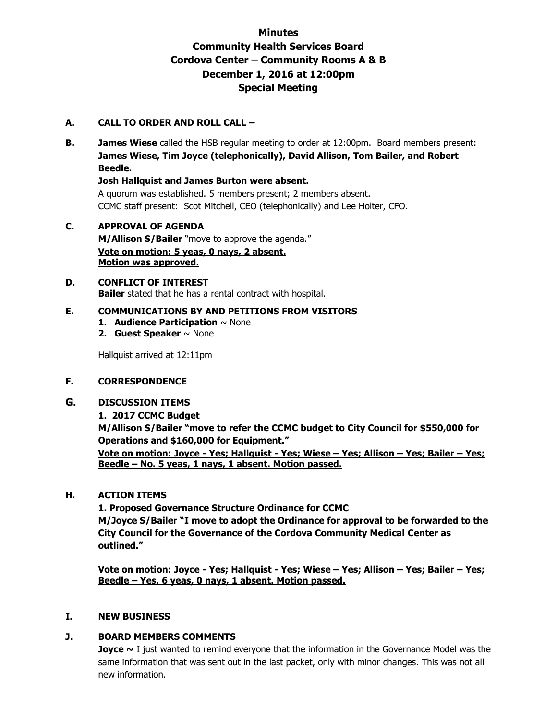# **Minutes Community Health Services Board Cordova Center – Community Rooms A & B December 1, 2016 at 12:00pm Special Meeting**

## **A. CALL TO ORDER AND ROLL CALL –**

**B. James Wiese** called the HSB regular meeting to order at 12:00pm. Board members present: **James Wiese, Tim Joyce (telephonically), David Allison, Tom Bailer, and Robert Beedle.** 

**Josh Hallquist and James Burton were absent.** 

A quorum was established. 5 members present; 2 members absent. CCMC staff present: Scot Mitchell, CEO (telephonically) and Lee Holter, CFO.

**C. APPROVAL OF AGENDA M/Allison S/Bailer** "move to approve the agenda." **Vote on motion: 5 yeas, 0 nays, 2 absent. Motion was approved.**

#### **D. CONFLICT OF INTEREST Bailer** stated that he has a rental contract with hospital.

#### **E. COMMUNICATIONS BY AND PETITIONS FROM VISITORS**

- **1. Audience Participation** ~ None
- **2. Guest Speaker** ~ None

Hallquist arrived at 12:11pm

## **F. CORRESPONDENCE**

#### **G. DISCUSSION ITEMS**

#### **1. 2017 CCMC Budget**

**M/Allison S/Bailer "move to refer the CCMC budget to City Council for \$550,000 for Operations and \$160,000 for Equipment."**

**Vote on motion: Joyce - Yes; Hallquist - Yes; Wiese – Yes; Allison – Yes; Bailer – Yes; Beedle – No. 5 yeas, 1 nays, 1 absent. Motion passed.**

#### **H. ACTION ITEMS**

**1. Proposed Governance Structure Ordinance for CCMC M/Joyce S/Bailer "I move to adopt the Ordinance for approval to be forwarded to the City Council for the Governance of the Cordova Community Medical Center as outlined."**

**Vote on motion: Joyce - Yes; Hallquist - Yes; Wiese – Yes; Allison – Yes; Bailer – Yes; Beedle – Yes. 6 yeas, 0 nays, 1 absent. Motion passed.**

#### **I. NEW BUSINESS**

#### **J. BOARD MEMBERS COMMENTS**

**Joyce** ~ I just wanted to remind everyone that the information in the Governance Model was the same information that was sent out in the last packet, only with minor changes. This was not all new information.